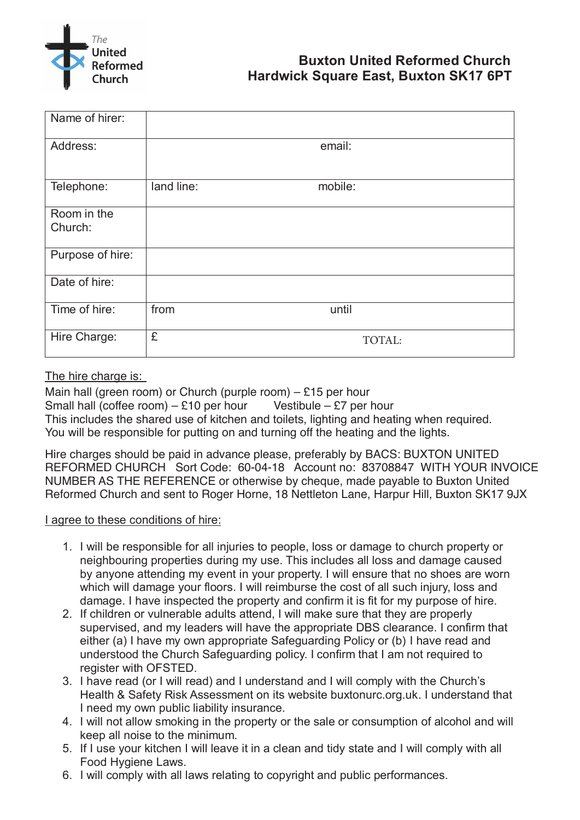

| Name of hirer:         |            |         |  |
|------------------------|------------|---------|--|
| Address:               |            | email:  |  |
| Telephone:             | land line: | mobile: |  |
| Room in the<br>Church: |            |         |  |
| Purpose of hire:       |            |         |  |
| Date of hire:          |            |         |  |
| Time of hire:          | from       | until   |  |
| Hire Charge:           | £          | TOTAL:  |  |

## The hire charge is: The hire charge is:

Main hall (green room) or Church (purple room) - £15 per hour  $\frac{1}{2}$ . Small hall (coffee room) – £10 per hour Vestibule – £7 per hour This includes the shared use of kitchen and toilets, lighting and heating when required. This instance are shared ase of Michell and tellets, lighting and heating when required.<br>You will be responsible for putting on and turning off the heating and the lights.  $\overline{\phantom{a}}$  be paid in advance to  $\overline{\phantom{a}}$ You will be responsible for putting on and turning off the heating and the lights.<br>

Tel. 01298 22449 - Cheques made payable to Buxton URC The charges should be paid in advance please, preferably by BAGS. BUXTON UNITED.<br>REFORMED QUIROUL QUIRED. AND REQUIRED. REFORMED CHURCH Sort Code: 60-04-18 Account no: 83708847 WITH YOUR INVOICE Reformed Church and sent to Roger Horne, 18 Nettleton Lane, Harpur Hill, Buxton SK17 9JX Hire charges should be paid in advance please, preferably by BACS: BUXTON UNITED NUMBER AS THE REFERENCE or otherwise by cheque, made payable to Buxton United

## I agree to these conditions of hire: **I agree to people**

- 1. I will be responsible for all injuries to people, loss or damage to church property or r will be responsible for all hijdries to people, toss or darriage to church property of<br>neighbouring properties during my use. This includes all loss and damage caused neighbouring properties during my use. This includes all loss and darriage caused<br>by anyone attending my event in your property. I will ensure that no shoes are worn by anyone attending my event in your property. I will ensure that no shoes are worn<br>which will damage your floors. I will reimburse the cost of all such injury, loss and which will darliage your floors. I will refind the cost of all such figury, loss and<br>damage. I have inspected the property and confirm it is fit for my purpose of hire.  $s$  supervisions and my leaders with the property and committee in the my purpose of mic. punderstood the Church Safeguarding policy. I confirm that I am not require to the I am not require to the safeguarding to the U.S. confirm that I am not require to the U.S. confirm that I am not require to the U.S. confir
- If crindren or valifierable addits attend, I will make sure that they are properly<br>supervised, and my leaders will have the appropriate DBS clearance. I confirm that supervised, and my readers will have the appropriate DBS clearance. I commit that<br>either (a) I have my own appropriate Safeguarding Policy or (b) I have read and enner (a) Friave my Ow<br>Endersteed the Church understood the Church Safeguarding policy. I confirm that I am not required to<br>register with OESTED Hegisici Willi VI OTED.<br>Haavo reed (er luull reed) and Lunderstand and Luull comply with the Church's  $\frac{1}{1}$ Have Teau and  $\frac{1}{1}$ 2. If children or vulnerable adults attend, I will make sure that they are properly register with OFSTED.
- I nave reau (UI I WIII reau) and I dirderst<br>Lloeth & Cefety Diek Aeseement en ite  $\frac{1}{2}$  is alleged to all  $\frac{1}{2}$  in the property or the property or the sale of alcohol and will alcohol and will are  $\frac{1}{2}$  in  $\frac{1}{2}$  in  $\frac{1}{2}$  in  $\frac{1}{2}$  in  $\frac{1}{2}$  in  $\frac{1}{2}$  in  $\frac{1}{2}$  in  $\frac{1}{2$ keep all not only using the minimum.  $\overline{a}$  with the Church's if the Undivity Health & Safety Risk Assessment on its website buxtonurc.org.uk. I understand that<br>Looed my our public lipbility inourcases 3. I have read (or I will read) and I understand and I will comply with the Church's I need my own public liability insurance.
- F. If will not allow showing in the property of the sale of consumption or alcohol and with and I will comply with all with all with all with all with all with all with all with all with all with all with all with all with Food Hygiene Laws. 4. I will not allow smoking in the property or the sale or consumption of alcohol and will public brancollor and will keep all noise to the minimum.
- Roch all Holse to the<br>Reference Laws. 5. If I use your kitchen I will leave it in a clean and tidy state and I will comply with all <br>Feed Uveiere Lavre Food Hygiene Laws.
- 6. I will comply with all laws relating to copyright and public performances.